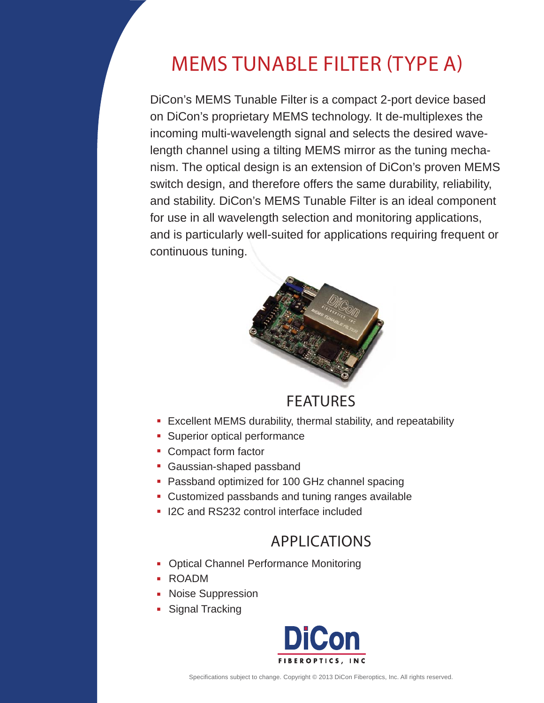DiCon's MEMS Tunable Filter is a compact 2-port device based on DiCon's proprietary MEMS technology. It de-multiplexes the incoming multi-wavelength signal and selects the desired wavelength channel using a tilting MEMS mirror as the tuning mechanism. The optical design is an extension of DiCon's proven MEMS switch design, and therefore offers the same durability, reliability, and stability. DiCon's MEMS Tunable Filter is an ideal component for use in all wavelength selection and monitoring applications, and is particularly well-suited for applications requiring frequent or continuous tuning. MEMS TUNABLE FILTER (TYPE A)<br>on's MEMS Tunable Filter is a compact 2-port device ba<br>DiCon's proprietary MEMS technology. It de-multiplexes<br>ming multi-wavelength signal and selects the desired w<br>th channel using a tilting M



## FEATURES

- **Excellent MEMS durability, thermal stability, and repeatability**
- **Superior optical performance**
- **Compact form factor**
- **Gaussian-shaped passband**
- **Passband optimized for 100 GHz channel spacing**
- Customized passbands and tuning ranges available
- **I** I2C and RS232 control interface included

## APPLICATIONS

- × Optical Channel Performance Monitoring
- ROADM
- **Noise Suppression**
- **Signal Tracking**